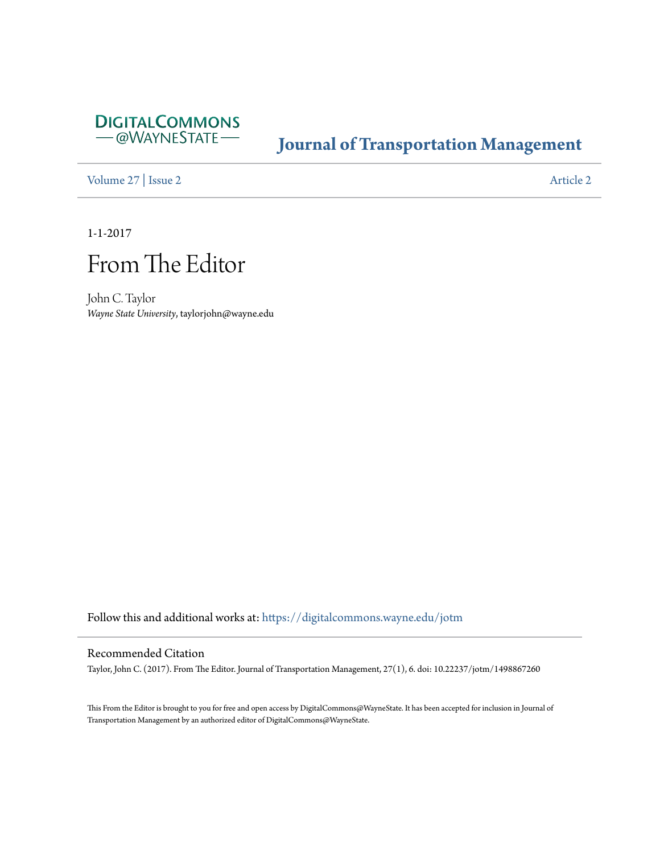

## **[Journal of Transportation Management](https://digitalcommons.wayne.edu/jotm?utm_source=digitalcommons.wayne.edu%2Fjotm%2Fvol27%2Fiss2%2F2&utm_medium=PDF&utm_campaign=PDFCoverPages)**

[Volume 27](https://digitalcommons.wayne.edu/jotm/vol27?utm_source=digitalcommons.wayne.edu%2Fjotm%2Fvol27%2Fiss2%2F2&utm_medium=PDF&utm_campaign=PDFCoverPages) | [Issue 2](https://digitalcommons.wayne.edu/jotm/vol27/iss2?utm_source=digitalcommons.wayne.edu%2Fjotm%2Fvol27%2Fiss2%2F2&utm_medium=PDF&utm_campaign=PDFCoverPages) [Article 2](https://digitalcommons.wayne.edu/jotm/vol27/iss2/2?utm_source=digitalcommons.wayne.edu%2Fjotm%2Fvol27%2Fiss2%2F2&utm_medium=PDF&utm_campaign=PDFCoverPages)

1-1-2017

## From The Editor

John C. Taylor *Wayne State University*, taylorjohn@wayne.edu

Follow this and additional works at: [https://digitalcommons.wayne.edu/jotm](https://digitalcommons.wayne.edu/jotm?utm_source=digitalcommons.wayne.edu%2Fjotm%2Fvol27%2Fiss2%2F2&utm_medium=PDF&utm_campaign=PDFCoverPages)

## Recommended Citation

Taylor, John C. (2017). From The Editor. Journal of Transportation Management, 27(1), 6. doi: 10.22237/jotm/1498867260

This From the Editor is brought to you for free and open access by DigitalCommons@WayneState. It has been accepted for inclusion in Journal of Transportation Management by an authorized editor of DigitalCommons@WayneState.